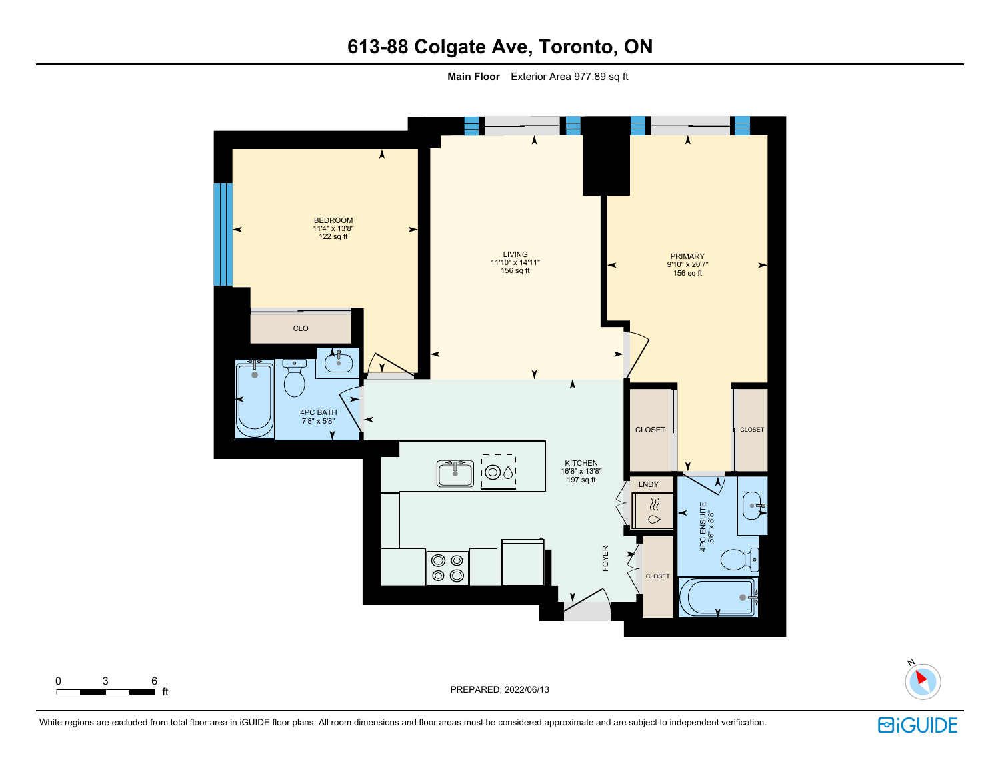# **613-88 Colgate Ave, Toronto, ON**

**Main Floor** Exterior Area 977.89 sq ft





White regions are excluded from total floor area in iGUIDE floor plans. All room dimensions and floor areas must be considered approximate and are subject to independent verification.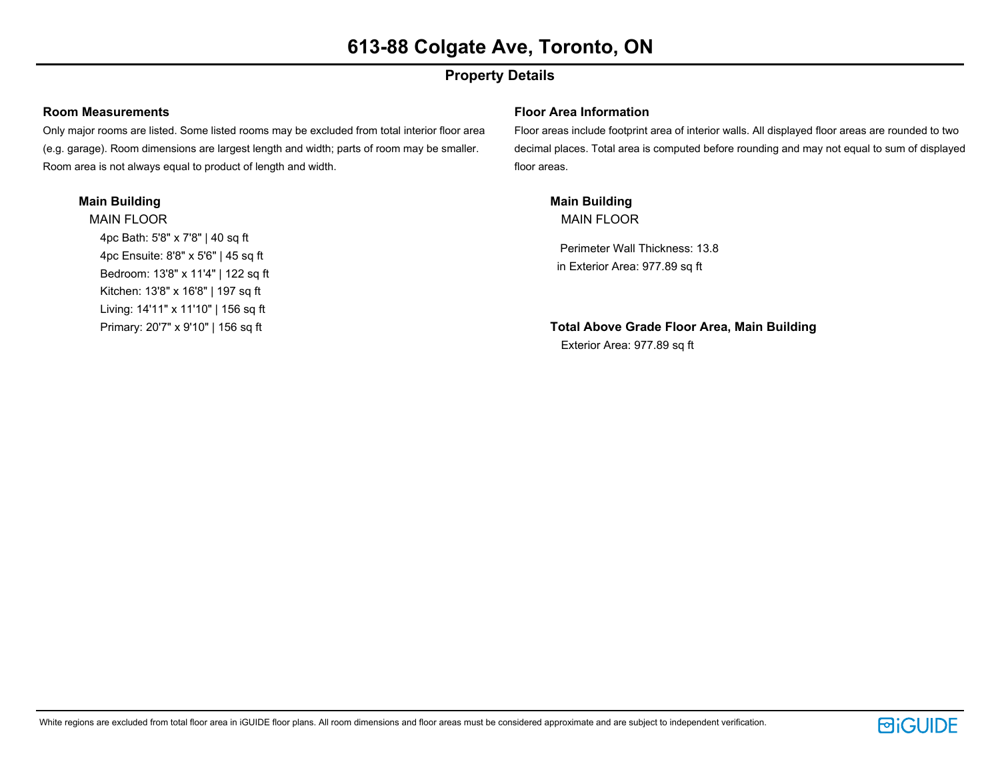## **Property Details**

#### **Room Measurements**

Only major rooms are listed. Some listed rooms may be excluded from total interior floor area (e.g. garage). Room dimensions are largest length and width; parts of room may be smaller. Room area is not always equal to product of length and width.

#### **Main Building**

MAIN FLOOR 4pc Bath: 5'8" x 7'8" | 40 sq ft 4pc Ensuite: 8'8" x 5'6" | 45 sq ft Bedroom: 13'8" x 11'4" | 122 sq ft Kitchen: 13'8" x 16'8" | 197 sq ft Living: 14'11" x 11'10" | 156 sq ft Primary: 20'7" x 9'10" | 156 sq ft

#### **Floor Area Information**

Floor areas include footprint area of interior walls. All displayed floor areas are rounded to two decimal places. Total area is computed before rounding and may not equal to sum of displayed floor areas.

**Main Building** MAIN FLOOR

Perimeter Wall Thickness: 13.8 in Exterior Area: 977.89 sq ft

**Total Above Grade Floor Area, Main Building** Exterior Area: 977.89 sq ft